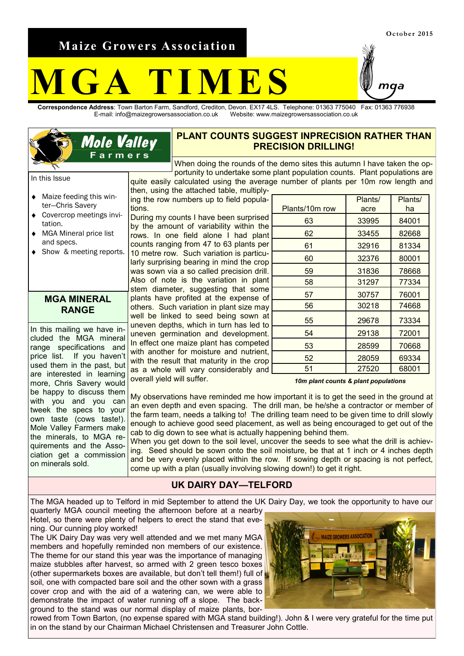**Maize Growers Association**

**Mole Valley** Farmers

# **M G A T I M E S**

**Correspondence Address**: Town Barton Farm, Sandford, Crediton, Devon. EX17 4LS. Telephone: 01363 775040 Fax: 01363 776938 E-mail: info@maizegrowersassociation.co.uk Website: www.maizegrowersassociation.co.uk

## **PLANT COUNTS SUGGEST INPRECISION RATHER THAN PRECISION DRILLING!**

When doing the rounds of the demo sites this autumn I have taken the opportunity to undertake some plant population counts. Plant populations are quite easily calculated using the average number of plants per 10m row length and

In this Issue

- Maize feeding this win- $\bullet$ ter—Chris Savery
- Covercrop meetings invitation.
- MGA Mineral price list  $\bullet$ and specs.
- Show & meeting reports.

#### **MGA MINERAL RANGE**

In this mailing we have included the MGA mineral range specifications and price list. If you haven't used them in the past, but are interested in learning more, Chris Savery would be happy to discuss them with you and you can tweek the specs to your own taste (cows taste!). Mole Valley Farmers make the minerals, to MGA requirements and the Association get a commission on minerals sold.

ing the row numbers up to field populations. During my counts I have been surprised by the amount of variability within the rows. In one field alone I had plant counts ranging from 47 to 63 plants per 10 metre row. Such variation is particularly surprising bearing in mind the crop was sown via a so called precision drill. Also of note is the variation in plant stem diameter, suggesting that some plants have profited at the expense of others. Such variation in plant size may well be linked to seed being sown at uneven depths, which in turn has led to uneven germination and development. In effect one maize plant has competed with another for moisture and nutrient, with the result that maturity in the crop as a whole will vary considerably and overall yield will suffer.

then, using the attached table, multiply-

|                | Plants/ | Plants/ |
|----------------|---------|---------|
| Plants/10m row | acre    | ha      |
| 63             | 33995   | 84001   |
| 62             | 33455   | 82668   |
| 61             | 32916   | 81334   |
| 60             | 32376   | 80001   |
| 59             | 31836   | 78668   |
| 58             | 31297   | 77334   |
| 57             | 30757   | 76001   |
| 56             | 30218   | 74668   |
| 55             | 29678   | 73334   |
| 54             | 29138   | 72001   |
| 53             | 28599   | 70668   |
| 52             | 28059   | 69334   |
| 51             | 27520   | 68001   |

*10m plant counts & plant populations*

My observations have reminded me how important it is to get the seed in the ground at an even depth and even spacing. The drill man, be he/she a contractor or member of the farm team, needs a talking to! The drilling team need to be given time to drill slowly enough to achieve good seed placement, as well as being encouraged to get out of the cab to dig down to see what is actually happening behind them.

When you get down to the soil level, uncover the seeds to see what the drill is achieving. Seed should be sown onto the soil moisture, be that at 1 inch or 4 inches depth and be very evenly placed within the row. If sowing depth or spacing is not perfect, come up with a plan (usually involving slowing down!) to get it right.

#### **UK DAIRY DAY—TELFORD**

The MGA headed up to Telford in mid September to attend the UK Dairy Day, we took the opportunity to have our quarterly MGA council meeting the afternoon before at a nearby

Hotel, so there were plenty of helpers to erect the stand that evening. Our cunning ploy worked!

The UK Dairy Day was very well attended and we met many MGA members and hopefully reminded non members of our existence. The theme for our stand this year was the importance of managing maize stubbles after harvest, so armed with 2 green tesco boxes (other supermarkets boxes are available, but don't tell them!) full of soil, one with compacted bare soil and the other sown with a grass cover crop and with the aid of a watering can, we were able to demonstrate the impact of water running off a slope. The background to the stand was our normal display of maize plants, bor-



rowed from Town Barton, (no expense spared with MGA stand building!). John & I were very grateful for the time put in on the stand by our Chairman Michael Christensen and Treasurer John Cottle.

naa